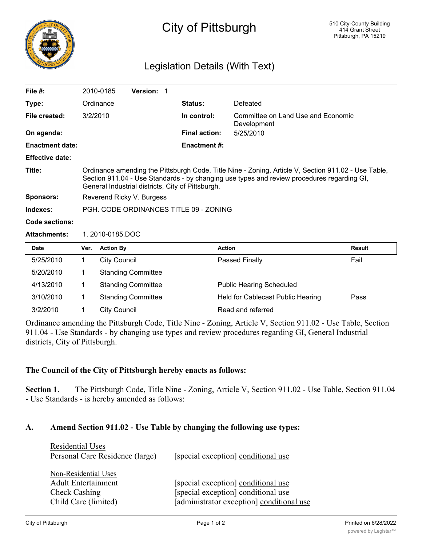

# City of Pittsburgh

# Legislation Details (With Text)

| File $#$ :             | 2010-0185                                                                                                                                                                                                                                              | <b>Version: 1</b> |  |                      |                                                   |
|------------------------|--------------------------------------------------------------------------------------------------------------------------------------------------------------------------------------------------------------------------------------------------------|-------------------|--|----------------------|---------------------------------------------------|
| Type:                  | Ordinance                                                                                                                                                                                                                                              |                   |  | <b>Status:</b>       | Defeated                                          |
| File created:          | 3/2/2010                                                                                                                                                                                                                                               |                   |  | In control:          | Committee on Land Use and Economic<br>Development |
| On agenda:             |                                                                                                                                                                                                                                                        |                   |  | <b>Final action:</b> | 5/25/2010                                         |
| <b>Enactment date:</b> |                                                                                                                                                                                                                                                        |                   |  | <b>Enactment #:</b>  |                                                   |
| <b>Effective date:</b> |                                                                                                                                                                                                                                                        |                   |  |                      |                                                   |
| Title:                 | Ordinance amending the Pittsburgh Code, Title Nine - Zoning, Article V, Section 911.02 - Use Table,<br>Section 911.04 - Use Standards - by changing use types and review procedures regarding GI,<br>General Industrial districts, City of Pittsburgh. |                   |  |                      |                                                   |
| Sponsors:              | Reverend Ricky V. Burgess                                                                                                                                                                                                                              |                   |  |                      |                                                   |
| Indexes:               | PGH, CODE ORDINANCES TITLE 09 - ZONING                                                                                                                                                                                                                 |                   |  |                      |                                                   |

**Code sections:**

#### **Attachments:** 1. 2010-0185.DOC

| <b>Date</b> | Ver. | <b>Action By</b>          | <b>Action</b>                     | Result |
|-------------|------|---------------------------|-----------------------------------|--------|
| 5/25/2010   |      | City Council              | Passed Finally                    | Fail   |
| 5/20/2010   |      | <b>Standing Committee</b> |                                   |        |
| 4/13/2010   |      | <b>Standing Committee</b> | <b>Public Hearing Scheduled</b>   |        |
| 3/10/2010   |      | <b>Standing Committee</b> | Held for Cablecast Public Hearing | Pass   |
| 3/2/2010    |      | City Council              | Read and referred                 |        |

Ordinance amending the Pittsburgh Code, Title Nine - Zoning, Article V, Section 911.02 - Use Table, Section 911.04 - Use Standards - by changing use types and review procedures regarding GI, General Industrial districts, City of Pittsburgh.

## **The Council of the City of Pittsburgh hereby enacts as follows:**

**Section 1**. The Pittsburgh Code, Title Nine - Zoning, Article V, Section 911.02 - Use Table, Section 911.04 - Use Standards - is hereby amended as follows:

## **A. Amend Section 911.02 - Use Table by changing the following use types:**

| <b>Residential Uses</b>         |                                           |
|---------------------------------|-------------------------------------------|
| Personal Care Residence (large) | [special exception] conditional use       |
|                                 |                                           |
| Non-Residential Uses            |                                           |
| <b>Adult Entertainment</b>      | [special exception] conditional use       |
| Check Cashing                   | [special exception] conditional use       |
| Child Care (limited)            | [administrator exception] conditional use |
|                                 |                                           |